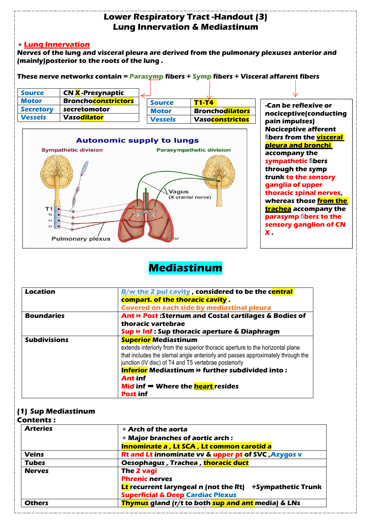

### ⭐**Lung Innervation**

**Nerves of the lung and visceral pleura are derived from the pulmonary plexuses anterior and (mainly)posterior to the roots of the lung .**

**These nerve networks contain = Parasymp fibers + Symp fibers + Visceral affarent fibers**

| <b>Source</b>    | <b>CNX</b> -Presynaptic                 |                |                                 |                        |  |
|------------------|-----------------------------------------|----------------|---------------------------------|------------------------|--|
| <b>Motor</b>     | <b>Broncho<mark>constrictors</mark></b> | <b>Source</b>  | <b>T1-T4</b>                    | -Can be reflexive or   |  |
| <b>Secretory</b> | secretomotor                            | <b>Motor</b>   | Broncho <mark>dilators</mark>   | nociceptive(conducting |  |
| <b>Vessels</b>   | <b>Vasodilator</b>                      | <b>Vessels</b> | . Vaso <mark>constrictos</mark> | pain impulses)         |  |
|                  |                                         |                |                                 |                        |  |



**Nociceptive afferent** fi**bers from the visceral pleura and bronchi accompany the sympathetic** fi**bers through the symp trunk to the sensory ganglia of upper thoracic spinal nerves, whereas those from the trachea accompany the parasymp** fi**bers to the sensory ganglion of CN X .**

# **Mediastinum**

| Location            | B/w the 2 pul cavity, considered to be the central                              |  |  |
|---------------------|---------------------------------------------------------------------------------|--|--|
|                     | compart. of the thoracic cavity.                                                |  |  |
|                     | Covered on each side by mediastinal pleura                                      |  |  |
| <b>Boundaries</b>   | Ant » Post : Sternum and Costal cartilages & Bodies of                          |  |  |
|                     | thoracic vartebrae                                                              |  |  |
|                     | Sup » Inf : Sup thoracic aperture & Diaphragm                                   |  |  |
| <b>Subdivisions</b> | <b>Superior Mediastinum</b>                                                     |  |  |
|                     | extends inferiorly from the superior thoracic aperture to the horizontal plane  |  |  |
|                     | that includes the sternal angle anteriorly and passes approximately through the |  |  |
|                     | junction (IV disc) of T4 and T5 vertebrae posteriorly                           |  |  |
|                     | <b>Inferior</b> Mediastinum » further subdivided into:                          |  |  |
|                     | <b>Ant inf</b>                                                                  |  |  |
|                     | Mid inf $\Rightarrow$ Where the <b>heart</b> resides                            |  |  |
|                     | <b>Post inf</b>                                                                 |  |  |

### **(1) Sup Mediastinum**

#### **Contents :**

| <b>Arteries</b> | $\star$ Arch of the aorta                                                 |  |  |  |
|-----------------|---------------------------------------------------------------------------|--|--|--|
|                 | $\star$ Major branches of aortic arch :                                   |  |  |  |
|                 | <b>Innominate a, Lt SCA, Lt common carotid a</b>                          |  |  |  |
| <b>Veins</b>    | Rt and Lt innominate vv & upper pt of SVC, Azygos v                       |  |  |  |
| <b>Tubes</b>    | Oesophagus, Trachea, thoracic duct                                        |  |  |  |
| <b>Nerves</b>   | The 2 vagi                                                                |  |  |  |
|                 | <b>Phrenic nerves</b>                                                     |  |  |  |
|                 | <b>Lt</b> recurrent laryngeal n (not the Rt)<br><b>+Sympathetic Trunk</b> |  |  |  |
|                 | <b>Superficial &amp; Deep Cardiac Plexus</b>                              |  |  |  |
| <b>Others</b>   | Thymus gland (r/t to both sup and ant media) & LNs                        |  |  |  |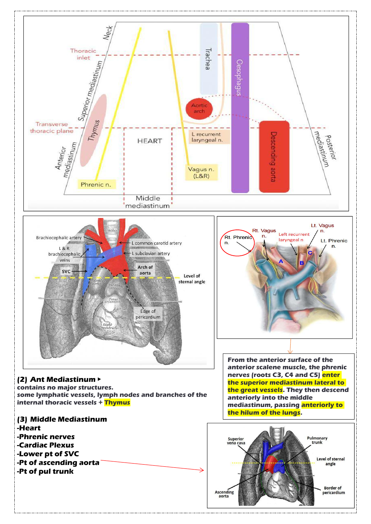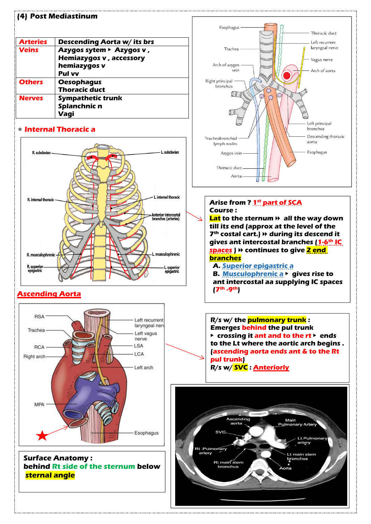|  |  | (4) Post Mediastinum |  |  |  |  |
|--|--|----------------------|--|--|--|--|
|  |  |                      |  |  |  |  |

| <b>Arteries</b> | <b>Descending Aorta w/ its brs</b> |               |
|-----------------|------------------------------------|---------------|
| <b>Veins</b>    | Azygos sytem ► Azygos v,           | Tr            |
|                 | Hemiazygos v, accessory            |               |
|                 | hemiazygos v                       | Arch of       |
|                 | <b>Pul vv</b>                      |               |
| <b>Others</b>   | <b>Oesophagus</b>                  | Right princip |
|                 | <b>Thoracic duct</b>               | bronch        |
| <b>Nerves</b>   | <b>Sympathetic trunk</b>           |               |
|                 | Splanchnic n                       |               |
|                 | Vagi                               |               |

### ⭐**Internal Thoracic a**



## **Ascending Aorta**



**Surface Anatomy : behind Rt side of the sternum below**  $\left| \begin{array}{ccc} \end{array} \right|$ **sternal angle**



### **Arise from ? 1 st part of SCA Course :**

**Lat to the sternum** ⏩ **all the way down till its end (approx at the level of the 7 th costal cart.)** ⏩ **during its descend it gives ant intercostal branches (1-6 th IC spaces )** ⏩ **continues to give 2 end branches**

### **A. Superior epigastric a**

**B. Musculophrenic a** ▶ **gives rise to ant intercostal aa supplying IC spaces (7 th -9 th)**

**R/s w/ the pulmonary trunk : Emerges behind the pul trunk** ▶ **crossing it ant and to the rt** ▶ **ends to the Lt where the aortic arch begins . (ascending aorta ends ant & to the Rt pul trunk) R/s w/ SVC :Anteriorly**

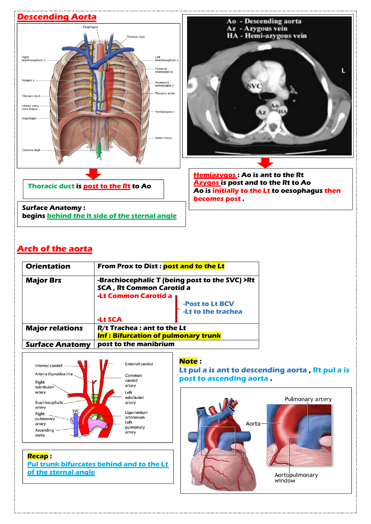

# **Arch of the aorta**

| <b>Orientation</b>     | <b>From Prox to Dist: post and to the Lt</b>                                      |                                       |  |
|------------------------|-----------------------------------------------------------------------------------|---------------------------------------|--|
| <b>Major Brs</b>       | -Brachiocephalic T (being post to the SVC) >Rt<br><b>SCA, Rt Common Carotid a</b> |                                       |  |
|                        | <b>Lt Common Carotid a</b>                                                        |                                       |  |
|                        |                                                                                   | -Post to Lt BCV<br>-Lt to the trachea |  |
|                        |                                                                                   |                                       |  |
|                        | <b>Lt SCA</b>                                                                     |                                       |  |
| <b>Major relations</b> | R/t Trachea : ant to the Lt                                                       |                                       |  |
|                        | <b>Inf: Bifurcation of pulmonary trunk</b>                                        |                                       |  |
| <b>Surface Anatomy</b> | post to the manibrium                                                             |                                       |  |



**Recap : Pul trunk bifurcates behind and to the Lt of the sternal angle**

#### **Note :**

**Lt pul a is ant to descending aorta , Rt pul a is post to ascending aorta .**

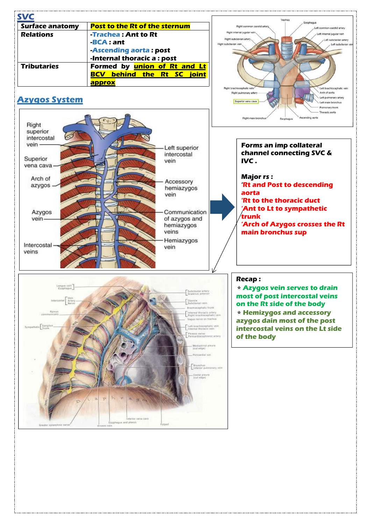